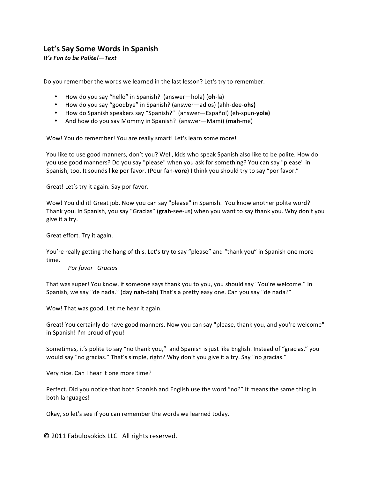## Let's Say Some Words in Spanish

*It's Fun to be Polite!—Text* 

Do you remember the words we learned in the last lesson? Let's try to remember.

- How do you say "hello" in Spanish? (answer—hola) (oh-la)
- How do you say "goodbye" in Spanish? (answer—adios) (ahh-dee-**ohs)**
- How do Spanish speakers say "Spanish?" (answer—Español) (eh-spun-yole)
- And how do you say Mommy in Spanish? (answer—Mami) (mah-me)

Wow! You do remember! You are really smart! Let's learn some more!

You like to use good manners, don't you? Well, kids who speak Spanish also like to be polite. How do you use good manners? Do you say "please" when you ask for something? You can say "please" in Spanish, too. It sounds like por favor. (Pour fah-vore) I think you should try to say "por favor."

Great! Let's try it again. Say por favor.

Wow! You did it! Great job. Now you can say "please" in Spanish. You know another polite word? Thank you. In Spanish, you say "Gracias" (grah-see-us) when you want to say thank you. Why don't you give it a try.

Great effort. Try it again.

You're really getting the hang of this. Let's try to say "please" and "thank you" in Spanish one more time.

## **Por favor Gracias**

That was super! You know, if someone says thank you to you, you should say "You're welcome." In Spanish, we say "de nada." (day nah-dah) That's a pretty easy one. Can you say "de nada?"

Wow! That was good. Let me hear it again.

Great! You certainly do have good manners. Now you can say "please, thank you, and you're welcome" in Spanish! I'm proud of you!

Sometimes, it's polite to say "no thank you," and Spanish is just like English. Instead of "gracias," you would say "no gracias." That's simple, right? Why don't you give it a try. Say "no gracias."

Very nice. Can I hear it one more time?

Perfect. Did you notice that both Spanish and English use the word "no?" It means the same thing in both languages!

Okay, so let's see if you can remember the words we learned today.

© 2011 Fabulosokids LLC All rights reserved.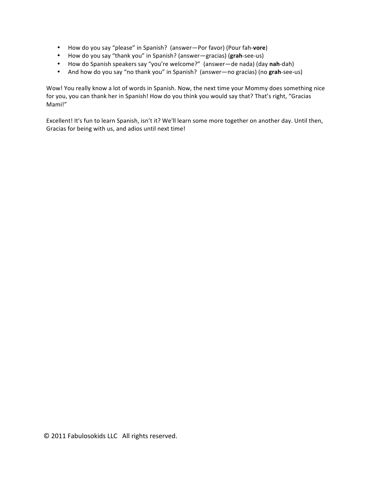- How do you say "please" in Spanish? (answer—Por favor) (Pour fah-vore)
- How do you say "thank you" in Spanish? (answer—gracias) (grah-see-us)
- How do Spanish speakers say "you're welcome?" (answer—de nada) (day nah-dah)
- And how do you say "no thank you" in Spanish? (answer—no gracias) (no grah-see-us)

Wow! You really know a lot of words in Spanish. Now, the next time your Mommy does something nice for you, you can thank her in Spanish! How do you think you would say that? That's right, "Gracias Mami!"

Excellent! It's fun to learn Spanish, isn't it? We'll learn some more together on another day. Until then, Gracias for being with us, and adios until next time!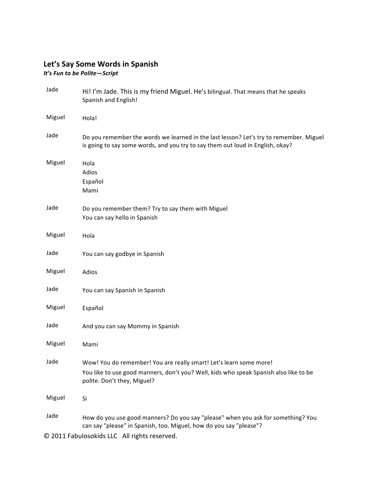## Let's Say Some Words in Spanish

*It's Fun to be Polite-Script* 

| Jade   | Hi! I'm Jade. This is my friend Miguel. He's bilingual. That means that he speaks<br>Spanish and English!                                                                                              |
|--------|--------------------------------------------------------------------------------------------------------------------------------------------------------------------------------------------------------|
| Miguel | Hola!                                                                                                                                                                                                  |
| Jade   | Do you remember the words we learned in the last lesson? Let's try to remember. Miguel<br>is going to say some words, and you try to say them out loud in English, okay?                               |
| Miguel | Hola<br>Adios<br>Español<br>Mami                                                                                                                                                                       |
| Jade   | Do you remember them? Try to say them with Miguel<br>You can say hello in Spanish                                                                                                                      |
| Miguel | Hola                                                                                                                                                                                                   |
| Jade   | You can say godbye in Spanish                                                                                                                                                                          |
| Miguel | Adios                                                                                                                                                                                                  |
| Jade   | You can say Spanish in Spanish                                                                                                                                                                         |
| Miguel | Español                                                                                                                                                                                                |
| Jade   | And you can say Mommy in Spanish                                                                                                                                                                       |
| Miguel | Mami                                                                                                                                                                                                   |
| Jade   | Wow! You do remember! You are really smart! Let's learn some more!<br>You like to use good manners, don't you? Well, kids who speak Spanish also like to be<br>polite. Don't they, Miguel?             |
| Miguel | Si                                                                                                                                                                                                     |
| Jade   | How do you use good manners? Do you say "please" when you ask for something? You<br>can say "please" in Spanish, too. Miguel, how do you say "please"?<br>© 2011 Fabulosokids LLC All rights reserved. |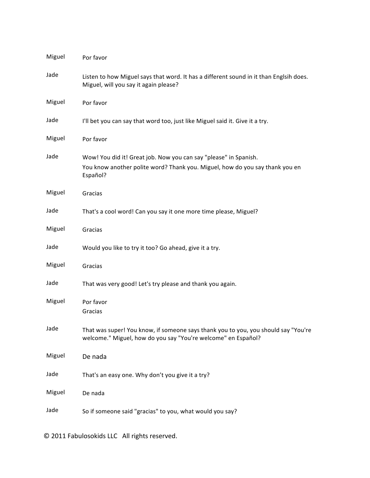| Miguel | Por favor                                                                                                                                                    |
|--------|--------------------------------------------------------------------------------------------------------------------------------------------------------------|
| Jade   | Listen to how Miguel says that word. It has a different sound in it than Englsih does.<br>Miguel, will you say it again please?                              |
| Miguel | Por favor                                                                                                                                                    |
| Jade   | I'll bet you can say that word too, just like Miguel said it. Give it a try.                                                                                 |
| Miguel | Por favor                                                                                                                                                    |
| Jade   | Wow! You did it! Great job. Now you can say "please" in Spanish.<br>You know another polite word? Thank you. Miguel, how do you say thank you en<br>Español? |
| Miguel | Gracias                                                                                                                                                      |
| Jade   | That's a cool word! Can you say it one more time please, Miguel?                                                                                             |
| Miguel | Gracias                                                                                                                                                      |
| Jade   | Would you like to try it too? Go ahead, give it a try.                                                                                                       |
| Miguel | Gracias                                                                                                                                                      |
| Jade   | That was very good! Let's try please and thank you again.                                                                                                    |
| Miguel | Por favor<br>Gracias                                                                                                                                         |
| Jade   | That was super! You know, if someone says thank you to you, you should say "You're<br>welcome." Miguel, how do you say "You're welcome" en Español?          |
| Miguel | De nada                                                                                                                                                      |
| Jade   | That's an easy one. Why don't you give it a try?                                                                                                             |
| Miguel | De nada                                                                                                                                                      |
| Jade   | So if someone said "gracias" to you, what would you say?                                                                                                     |

© 2011 Fabulosokids LLC All rights reserved.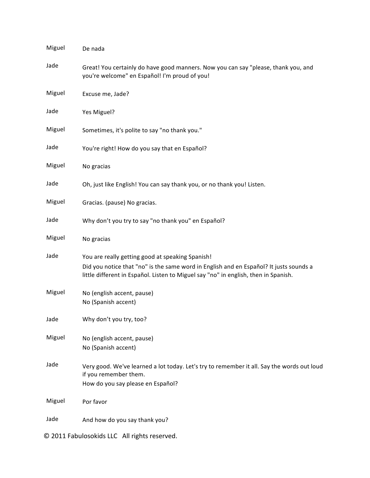| Miguel                                       | De nada                                                                                                                                                                                                                           |  |
|----------------------------------------------|-----------------------------------------------------------------------------------------------------------------------------------------------------------------------------------------------------------------------------------|--|
| Jade                                         | Great! You certainly do have good manners. Now you can say "please, thank you, and<br>you're welcome" en Español! I'm proud of you!                                                                                               |  |
| Miguel                                       | Excuse me, Jade?                                                                                                                                                                                                                  |  |
| Jade                                         | Yes Miguel?                                                                                                                                                                                                                       |  |
| Miguel                                       | Sometimes, it's polite to say "no thank you."                                                                                                                                                                                     |  |
| Jade                                         | You're right! How do you say that en Español?                                                                                                                                                                                     |  |
| Miguel                                       | No gracias                                                                                                                                                                                                                        |  |
| Jade                                         | Oh, just like English! You can say thank you, or no thank you! Listen.                                                                                                                                                            |  |
| Miguel                                       | Gracias. (pause) No gracias.                                                                                                                                                                                                      |  |
| Jade                                         | Why don't you try to say "no thank you" en Español?                                                                                                                                                                               |  |
| Miguel                                       | No gracias                                                                                                                                                                                                                        |  |
| Jade                                         | You are really getting good at speaking Spanish!<br>Did you notice that "no" is the same word in English and en Español? It justs sounds a<br>little different in Español. Listen to Miguel say "no" in english, then in Spanish. |  |
| Miguel                                       | No (english accent, pause)<br>No (Spanish accent)                                                                                                                                                                                 |  |
| Jade                                         | Why don't you try, too?                                                                                                                                                                                                           |  |
| Miguel                                       | No (english accent, pause)<br>No (Spanish accent)                                                                                                                                                                                 |  |
| Jade                                         | Very good. We've learned a lot today. Let's try to remember it all. Say the words out loud<br>if you remember them.<br>How do you say please en Español?                                                                          |  |
| Miguel                                       | Por favor                                                                                                                                                                                                                         |  |
| Jade                                         | And how do you say thank you?                                                                                                                                                                                                     |  |
| © 2011 Fabulosokids LLC All rights reserved. |                                                                                                                                                                                                                                   |  |